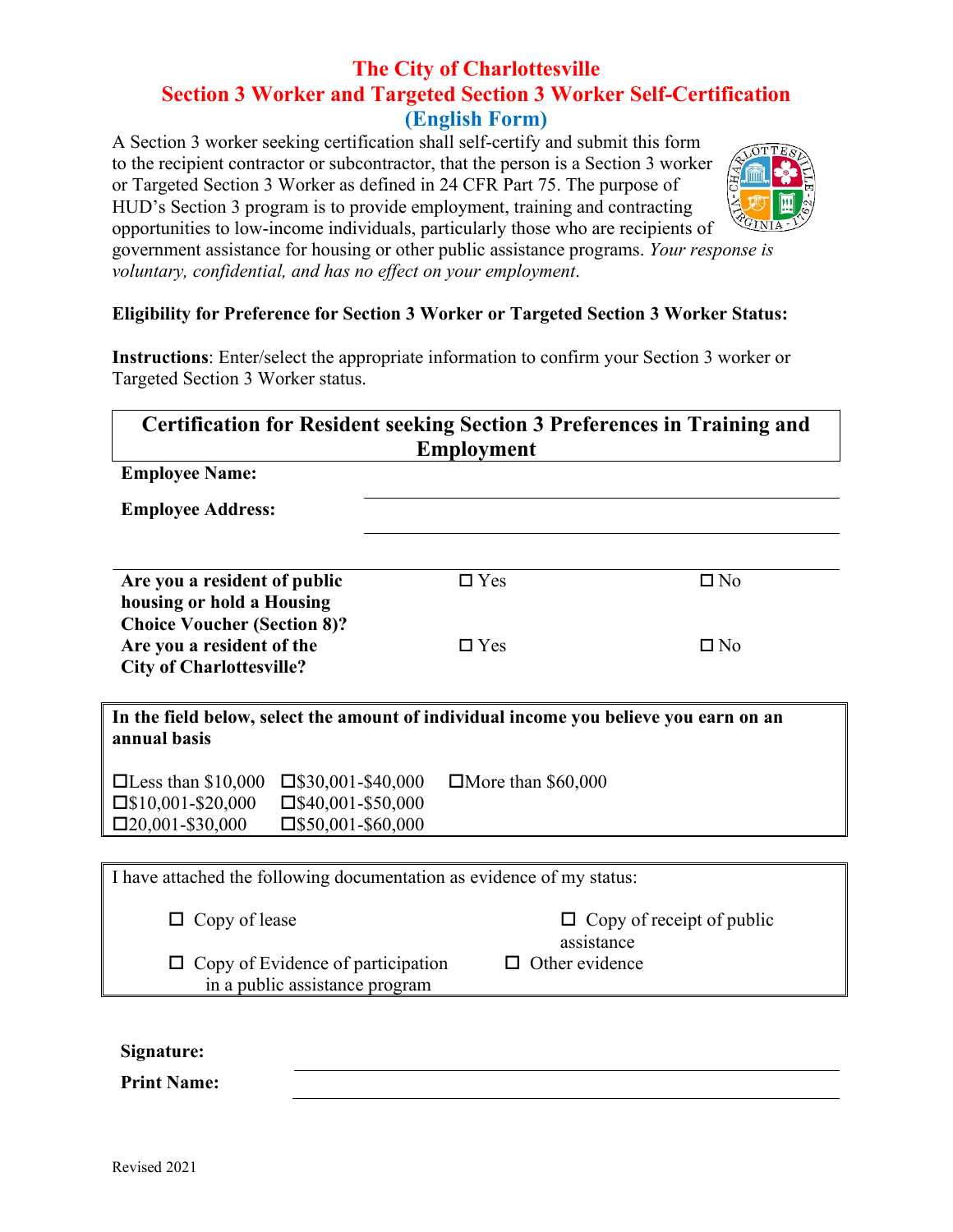## **The City of Charlottesville Section 3 Worker and Targeted Section 3 Worker Self-Certification (English Form)**

A Section 3 worker seeking certification shall self-certify and submit this form to the recipient contractor or subcontractor, that the person is a Section 3 worker or Targeted Section 3 Worker as defined in 24 CFR Part 75. The purpose of HUD's Section 3 program is to provide employment, training and contracting opportunities to low-income individuals, particularly those who are recipients of



government assistance for housing or other public assistance programs. *Your response is voluntary, confidential, and has no effect on your employment*.

## **Eligibility for Preference for Section 3 Worker or Targeted Section 3 Worker Status:**

**Instructions**: Enter/select the appropriate information to confirm your Section 3 worker or Targeted Section 3 Worker status.

| <b>Certification for Resident seeking Section 3 Preferences in Training and</b><br><b>Employment</b>                                                                               |                           |                                                |  |  |
|------------------------------------------------------------------------------------------------------------------------------------------------------------------------------------|---------------------------|------------------------------------------------|--|--|
| <b>Employee Name:</b>                                                                                                                                                              |                           |                                                |  |  |
| <b>Employee Address:</b>                                                                                                                                                           |                           |                                                |  |  |
| Are you a resident of public<br>housing or hold a Housing                                                                                                                          | $\Box$ Yes                | $\square$ No                                   |  |  |
| <b>Choice Voucher (Section 8)?</b><br>Are you a resident of the<br><b>City of Charlottesville?</b>                                                                                 | $\Box$ Yes                | $\square$ No                                   |  |  |
| In the field below, select the amount of individual income you believe you earn on an<br>annual basis                                                                              |                           |                                                |  |  |
| $\Box$ Less than \$10,000<br>$\square$ \$30,001-\$40,000<br>$\square$ \$10,001-\$20,000<br>$\square$ \$40,001-\$50,000<br>$\square$ 20,001-\$30,000<br>$\square$ \$50,001-\$60,000 | $\Box$ More than \$60,000 |                                                |  |  |
|                                                                                                                                                                                    |                           |                                                |  |  |
| I have attached the following documentation as evidence of my status:                                                                                                              |                           |                                                |  |  |
| Copy of lease                                                                                                                                                                      |                           | $\Box$ Copy of receipt of public<br>assistance |  |  |
| $\Box$ Copy of Evidence of participation<br>in a public assistance program                                                                                                         |                           | $\Box$ Other evidence                          |  |  |
|                                                                                                                                                                                    |                           |                                                |  |  |
| Signature:                                                                                                                                                                         |                           |                                                |  |  |
| <b>Print Name:</b>                                                                                                                                                                 |                           |                                                |  |  |